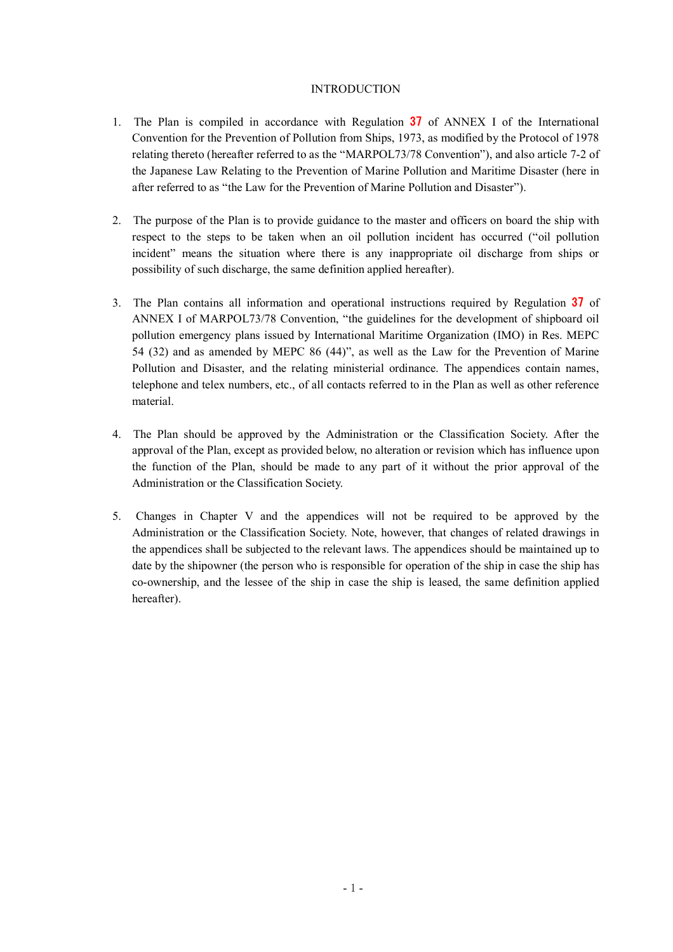## INTRODUCTION

- 1. The Plan is compiled in accordance with Regulation 37 of ANNEX I of the International Convention for the Prevention of Pollution from Ships, 1973, as modified by the Protocol of 1978 relating thereto (hereafter referred to as the "MARPOL73/78 Convention"), and also article 7-2 of the Japanese Law Relating to the Prevention of Marine Pollution and Maritime Disaster (here in after referred to as "the Law for the Prevention of Marine Pollution and Disaster").
- 2. The purpose of the Plan is to provide guidance to the master and officers on board the ship with respect to the steps to be taken when an oil pollution incident has occurred ("oil pollution incident" means the situation where there is any inappropriate oil discharge from ships or possibility of such discharge, the same definition applied hereafter).
- 3. The Plan contains all information and operational instructions required by Regulation 37 of ANNEX I of MARPOL73/78 Convention, "the guidelines for the development of shipboard oil pollution emergency plans issued by International Maritime Organization (IMO) in Res. MEPC 54 (32) and as amended by MEPC 86 (44)", as well as the Law for the Prevention of Marine Pollution and Disaster, and the relating ministerial ordinance. The appendices contain names, telephone and telex numbers, etc., of all contacts referred to in the Plan as well as other reference material.
- 4. The Plan should be approved by the Administration or the Classification Society. After the approval of the Plan, except as provided below, no alteration or revision which has influence upon the function of the Plan, should be made to any part of it without the prior approval of the Administration or the Classification Society.
- 5. Changes in Chapter V and the appendices will not be required to be approved by the Administration or the Classification Society. Note, however, that changes of related drawings in the appendices shall be subjected to the relevant laws. The appendices should be maintained up to date by the shipowner (the person who is responsible for operation of the ship in case the ship has co-ownership, and the lessee of the ship in case the ship is leased, the same definition applied hereafter).